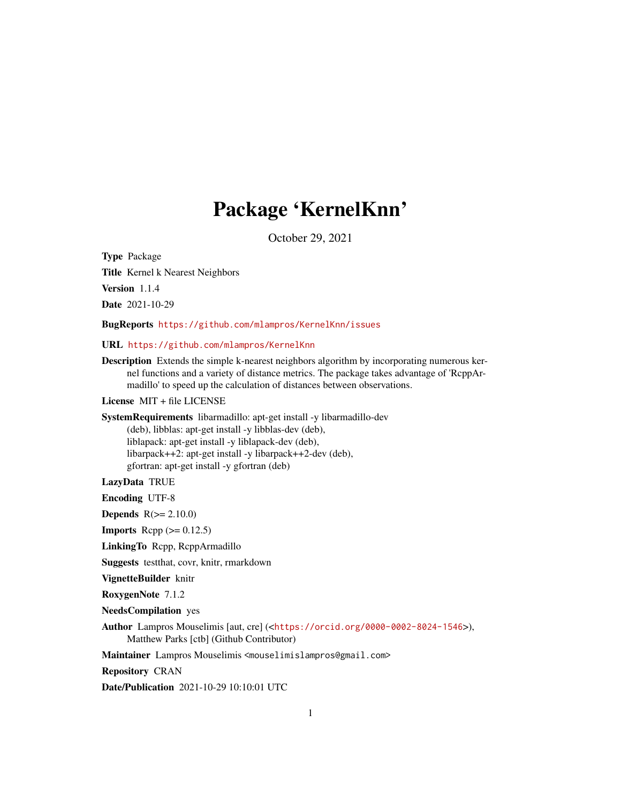# Package 'KernelKnn'

October 29, 2021

Type Package

Title Kernel k Nearest Neighbors

Version 1.1.4

Date 2021-10-29

BugReports <https://github.com/mlampros/KernelKnn/issues>

URL <https://github.com/mlampros/KernelKnn>

Description Extends the simple k-nearest neighbors algorithm by incorporating numerous kernel functions and a variety of distance metrics. The package takes advantage of 'RcppArmadillo' to speed up the calculation of distances between observations.

# License MIT + file LICENSE

SystemRequirements libarmadillo: apt-get install -y libarmadillo-dev

(deb), libblas: apt-get install -y libblas-dev (deb), liblapack: apt-get install -y liblapack-dev (deb), libarpack++2: apt-get install -y libarpack++2-dev (deb), gfortran: apt-get install -y gfortran (deb)

# LazyData TRUE

Encoding UTF-8

**Depends**  $R(>= 2.10.0)$ 

**Imports** Rcpp  $(>= 0.12.5)$ 

LinkingTo Rcpp, RcppArmadillo

Suggests testthat, covr, knitr, rmarkdown

VignetteBuilder knitr

RoxygenNote 7.1.2

NeedsCompilation yes

Author Lampros Mouselimis [aut, cre] (<<https://orcid.org/0000-0002-8024-1546>>), Matthew Parks [ctb] (Github Contributor)

Maintainer Lampros Mouselimis <mouselimislampros@gmail.com>

Repository CRAN

Date/Publication 2021-10-29 10:10:01 UTC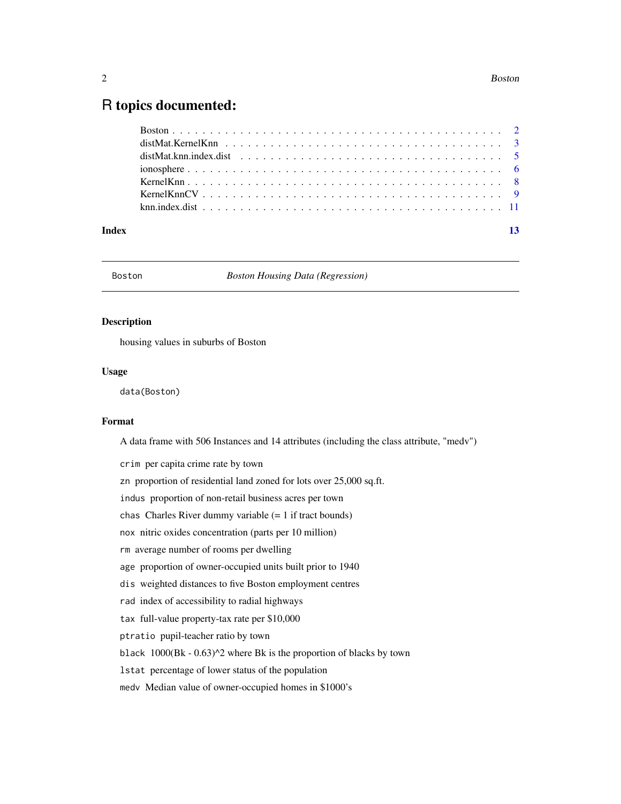# <span id="page-1-0"></span>R topics documented:

| Index | $-13$ |
|-------|-------|

#### Boston *Boston Housing Data (Regression)*

#### Description

housing values in suburbs of Boston

#### Usage

data(Boston)

# Format

A data frame with 506 Instances and 14 attributes (including the class attribute, "medv")

crim per capita crime rate by town zn proportion of residential land zoned for lots over 25,000 sq.ft. indus proportion of non-retail business acres per town chas Charles River dummy variable (= 1 if tract bounds) nox nitric oxides concentration (parts per 10 million) rm average number of rooms per dwelling age proportion of owner-occupied units built prior to 1940 dis weighted distances to five Boston employment centres rad index of accessibility to radial highways tax full-value property-tax rate per \$10,000 ptratio pupil-teacher ratio by town black 1000(Bk - 0.63)^2 where Bk is the proportion of blacks by town lstat percentage of lower status of the population medv Median value of owner-occupied homes in \$1000's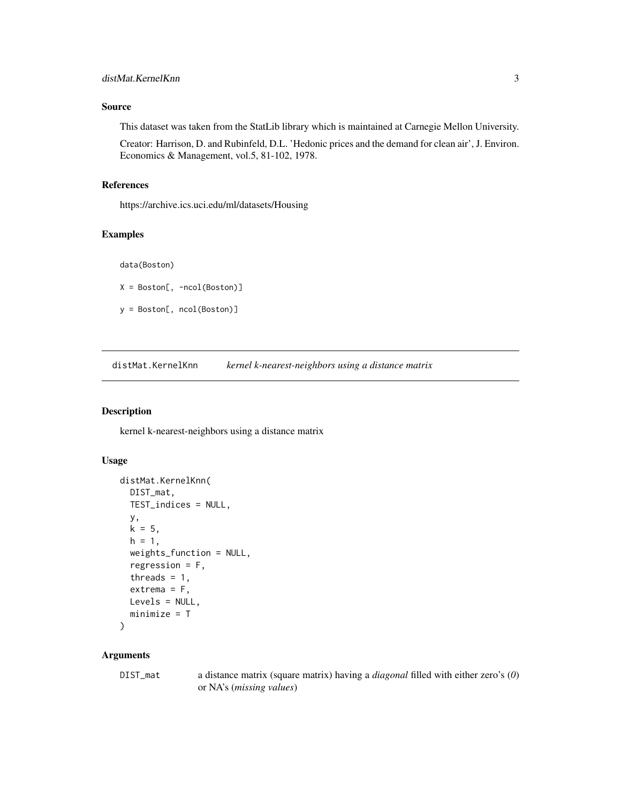# <span id="page-2-0"></span>Source

This dataset was taken from the StatLib library which is maintained at Carnegie Mellon University.

Creator: Harrison, D. and Rubinfeld, D.L. 'Hedonic prices and the demand for clean air', J. Environ. Economics & Management, vol.5, 81-102, 1978.

# References

https://archive.ics.uci.edu/ml/datasets/Housing

# Examples

data(Boston)

 $X = Boston[, -ncol(Boston)]$ 

y = Boston[, ncol(Boston)]

distMat.KernelKnn *kernel k-nearest-neighbors using a distance matrix*

# Description

kernel k-nearest-neighbors using a distance matrix

#### Usage

```
distMat.KernelKnn(
  DIST_mat,
  TEST_indices = NULL,
 y,
 k = 5,
  h = 1,weights_function = NULL,
  regression = F,
  threads = 1,
  extrema = F,
 Levels = NULL,
  minimize = T
\mathcal{L}
```
#### Arguments

DIST\_mat a distance matrix (square matrix) having a *diagonal* filled with either zero's (*0*) or NA's (*missing values*)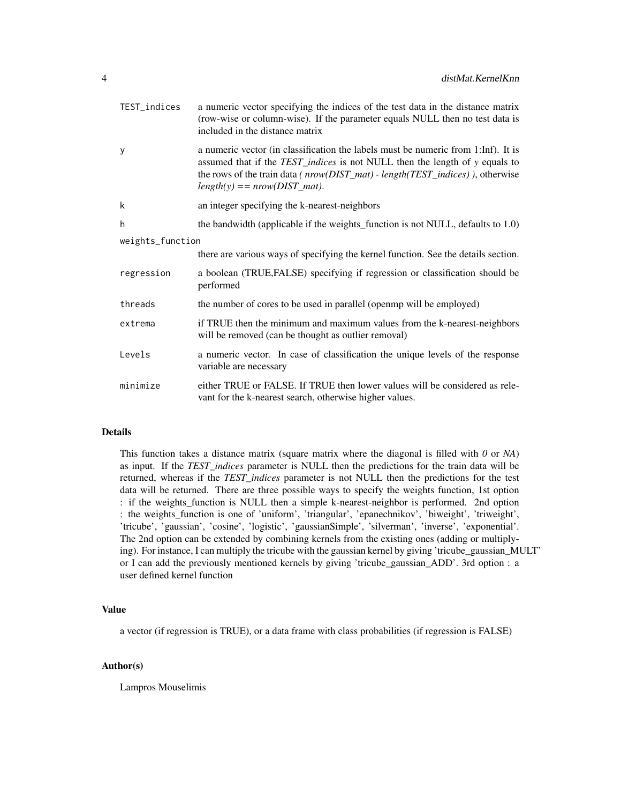| TEST_indices     | a numeric vector specifying the indices of the test data in the distance matrix<br>(row-wise or column-wise). If the parameter equals NULL then no test data is<br>included in the distance matrix                                                                                     |
|------------------|----------------------------------------------------------------------------------------------------------------------------------------------------------------------------------------------------------------------------------------------------------------------------------------|
| У                | a numeric vector (in classification the labels must be numeric from 1:Inf). It is<br>assumed that if the TEST_indices is not NULL then the length of y equals to<br>the rows of the train data (nrow(DIST_mat) - length(TEST_indices)), otherwise<br>$length(y) == nrow(DIST_matrix).$ |
| k                | an integer specifying the k-nearest-neighbors                                                                                                                                                                                                                                          |
| h                | the bandwidth (applicable if the weights_function is not NULL, defaults to 1.0)                                                                                                                                                                                                        |
| weights_function |                                                                                                                                                                                                                                                                                        |
|                  | there are various ways of specifying the kernel function. See the details section.                                                                                                                                                                                                     |
| regression       | a boolean (TRUE, FALSE) specifying if regression or classification should be<br>performed                                                                                                                                                                                              |
| threads          | the number of cores to be used in parallel (open mp will be employed)                                                                                                                                                                                                                  |
| extrema          | if TRUE then the minimum and maximum values from the k-nearest-neighbors<br>will be removed (can be thought as outlier removal)                                                                                                                                                        |
| Levels           | a numeric vector. In case of classification the unique levels of the response<br>variable are necessary                                                                                                                                                                                |
| minimize         | either TRUE or FALSE. If TRUE then lower values will be considered as rele-<br>vant for the k-nearest search, otherwise higher values.                                                                                                                                                 |

# Details

This function takes a distance matrix (square matrix where the diagonal is filled with *0* or *NA*) as input. If the *TEST\_indices* parameter is NULL then the predictions for the train data will be returned, whereas if the *TEST\_indices* parameter is not NULL then the predictions for the test data will be returned. There are three possible ways to specify the weights function, 1st option : if the weights\_function is NULL then a simple k-nearest-neighbor is performed. 2nd option : the weights\_function is one of 'uniform', 'triangular', 'epanechnikov', 'biweight', 'triweight', 'tricube', 'gaussian', 'cosine', 'logistic', 'gaussianSimple', 'silverman', 'inverse', 'exponential'. The 2nd option can be extended by combining kernels from the existing ones (adding or multiplying). For instance, I can multiply the tricube with the gaussian kernel by giving 'tricube\_gaussian\_MULT' or I can add the previously mentioned kernels by giving 'tricube\_gaussian\_ADD'. 3rd option : a user defined kernel function

# Value

a vector (if regression is TRUE), or a data frame with class probabilities (if regression is FALSE)

# Author(s)

Lampros Mouselimis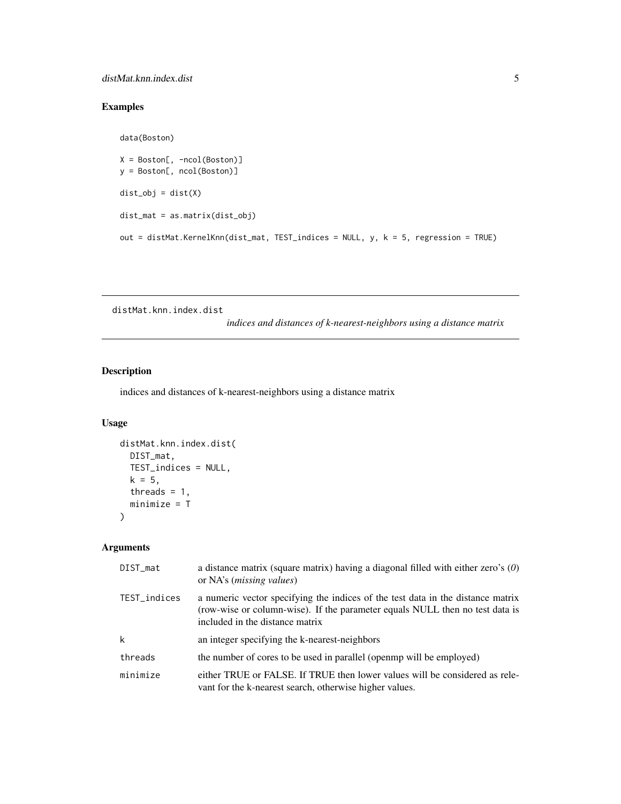# <span id="page-4-0"></span>Examples

```
data(Boston)
X = Boston[, -ncol(Boston)]
y = Boston[, ncol(Boston)]
dist_obj = dist(X)
dist_mat = as.matrix(dist_obj)
out = distMat.KernelKnn(dist_mat, TEST_indices = NULL, y, k = 5, regression = TRUE)
```
distMat.knn.index.dist

*indices and distances of k-nearest-neighbors using a distance matrix*

# Description

indices and distances of k-nearest-neighbors using a distance matrix

# Usage

```
distMat.knn.index.dist(
 DIST_mat,
 TEST_indices = NULL,
 k = 5,threads = 1,
 minimize = T
)
```
# Arguments

| DIST_mat     | a distance matrix (square matrix) having a diagonal filled with either zero's $(0)$<br>or NA's ( <i>missing values</i> )                                                                           |
|--------------|----------------------------------------------------------------------------------------------------------------------------------------------------------------------------------------------------|
| TEST_indices | a numeric vector specifying the indices of the test data in the distance matrix<br>(row-wise or column-wise). If the parameter equals NULL then no test data is<br>included in the distance matrix |
| k            | an integer specifying the k-nearest-neighbors                                                                                                                                                      |
| threads      | the number of cores to be used in parallel (open mp will be employed)                                                                                                                              |
| minimize     | either TRUE or FALSE. If TRUE then lower values will be considered as rele-<br>vant for the k-nearest search, otherwise higher values.                                                             |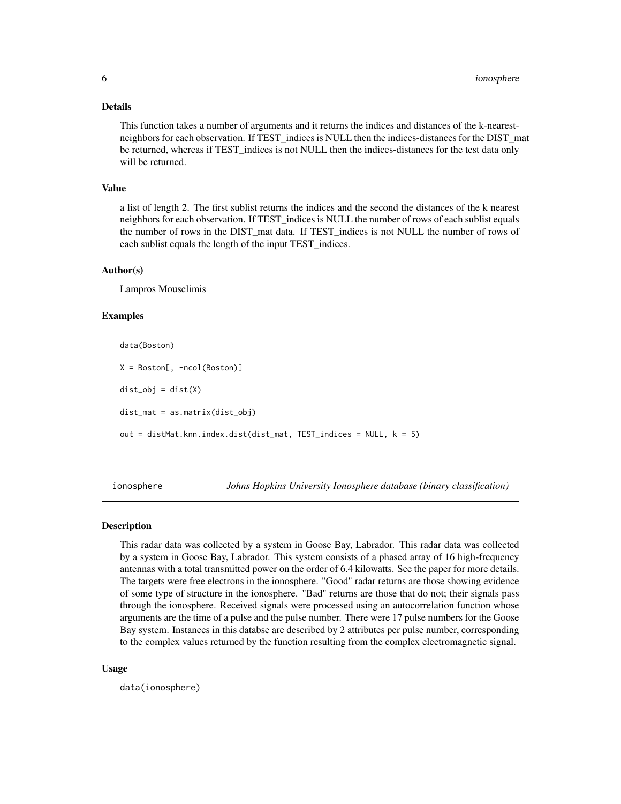#### <span id="page-5-0"></span>Details

This function takes a number of arguments and it returns the indices and distances of the k-nearestneighbors for each observation. If TEST\_indices is NULL then the indices-distances for the DIST\_mat be returned, whereas if TEST\_indices is not NULL then the indices-distances for the test data only will be returned.

#### Value

a list of length 2. The first sublist returns the indices and the second the distances of the k nearest neighbors for each observation. If TEST indices is NULL the number of rows of each sublist equals the number of rows in the DIST\_mat data. If TEST\_indices is not NULL the number of rows of each sublist equals the length of the input TEST\_indices.

#### Author(s)

Lampros Mouselimis

#### Examples

data(Boston) X = Boston[, -ncol(Boston)]  $dist\_obj = dist(X)$ dist\_mat = as.matrix(dist\_obj) out = distMat.knn.index.dist(dist\_mat, TEST\_indices = NULL, k = 5)

ionosphere *Johns Hopkins University Ionosphere database (binary classification)*

# **Description**

This radar data was collected by a system in Goose Bay, Labrador. This radar data was collected by a system in Goose Bay, Labrador. This system consists of a phased array of 16 high-frequency antennas with a total transmitted power on the order of 6.4 kilowatts. See the paper for more details. The targets were free electrons in the ionosphere. "Good" radar returns are those showing evidence of some type of structure in the ionosphere. "Bad" returns are those that do not; their signals pass through the ionosphere. Received signals were processed using an autocorrelation function whose arguments are the time of a pulse and the pulse number. There were 17 pulse numbers for the Goose Bay system. Instances in this databse are described by 2 attributes per pulse number, corresponding to the complex values returned by the function resulting from the complex electromagnetic signal.

#### Usage

data(ionosphere)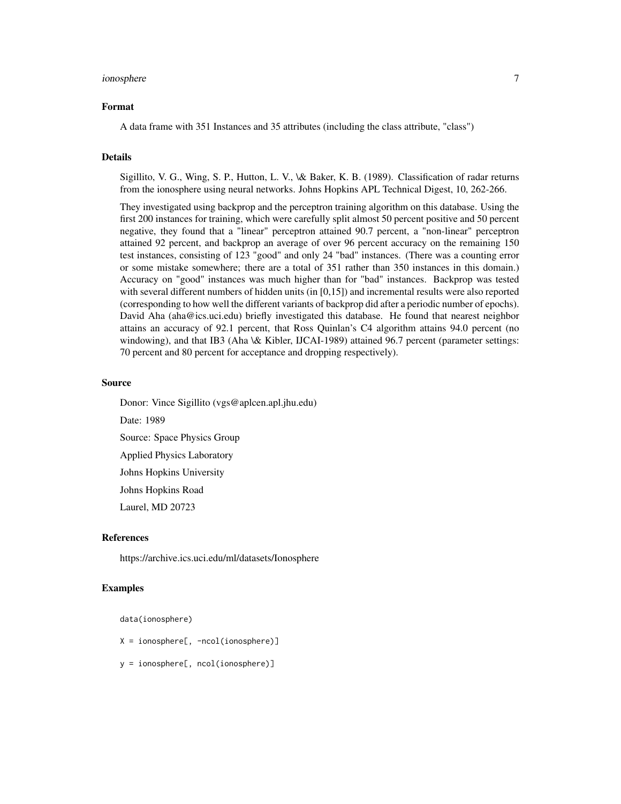#### ionosphere 7

#### Format

A data frame with 351 Instances and 35 attributes (including the class attribute, "class")

#### Details

Sigillito, V. G., Wing, S. P., Hutton, L. V., \& Baker, K. B. (1989). Classification of radar returns from the ionosphere using neural networks. Johns Hopkins APL Technical Digest, 10, 262-266.

They investigated using backprop and the perceptron training algorithm on this database. Using the first 200 instances for training, which were carefully split almost 50 percent positive and 50 percent negative, they found that a "linear" perceptron attained 90.7 percent, a "non-linear" perceptron attained 92 percent, and backprop an average of over 96 percent accuracy on the remaining 150 test instances, consisting of 123 "good" and only 24 "bad" instances. (There was a counting error or some mistake somewhere; there are a total of 351 rather than 350 instances in this domain.) Accuracy on "good" instances was much higher than for "bad" instances. Backprop was tested with several different numbers of hidden units (in [0,15]) and incremental results were also reported (corresponding to how well the different variants of backprop did after a periodic number of epochs). David Aha (aha@ics.uci.edu) briefly investigated this database. He found that nearest neighbor attains an accuracy of 92.1 percent, that Ross Quinlan's C4 algorithm attains 94.0 percent (no windowing), and that IB3 (Aha \& Kibler, IJCAI-1989) attained 96.7 percent (parameter settings: 70 percent and 80 percent for acceptance and dropping respectively).

#### Source

Donor: Vince Sigillito (vgs@aplcen.apl.jhu.edu) Date: 1989 Source: Space Physics Group Applied Physics Laboratory Johns Hopkins University Johns Hopkins Road Laurel, MD 20723

#### References

https://archive.ics.uci.edu/ml/datasets/Ionosphere

#### Examples

data(ionosphere)

- X = ionosphere[, -ncol(ionosphere)]
- y = ionosphere[, ncol(ionosphere)]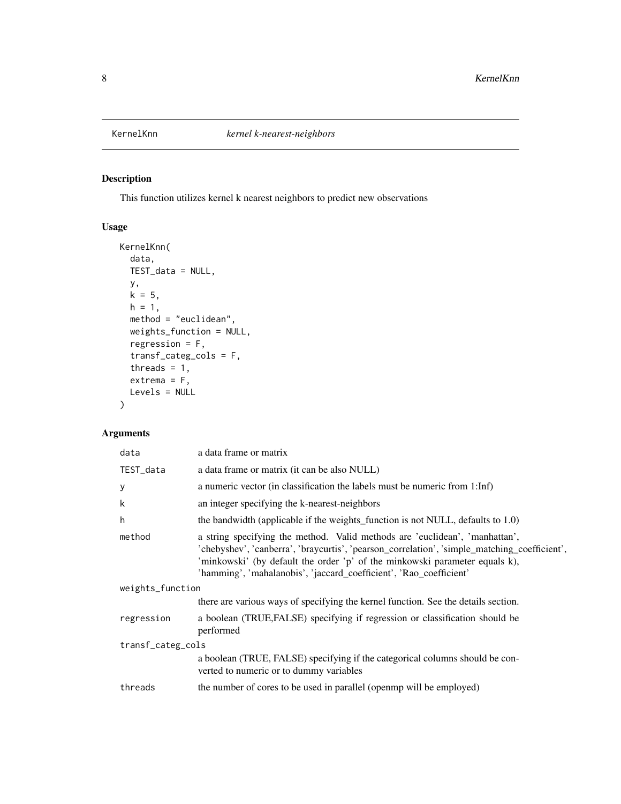<span id="page-7-0"></span>

# Description

This function utilizes kernel k nearest neighbors to predict new observations

# Usage

```
KernelKnn(
  data,
  TEST_data = NULL,
  y,
  k = 5,h = 1,method = "euclidean",
  weights_function = NULL,
  regression = F,
  transf_categ_cols = F,
  threads = 1,
  extrema = F,
  Levels = NULL
\lambda
```
# Arguments

| data              | a data frame or matrix                                                                                                                                                                                                                                                                                                           |  |
|-------------------|----------------------------------------------------------------------------------------------------------------------------------------------------------------------------------------------------------------------------------------------------------------------------------------------------------------------------------|--|
| TEST_data         | a data frame or matrix (it can be also NULL)                                                                                                                                                                                                                                                                                     |  |
| y                 | a numeric vector (in classification the labels must be numeric from 1:Inf)                                                                                                                                                                                                                                                       |  |
| k                 | an integer specifying the k-nearest-neighbors                                                                                                                                                                                                                                                                                    |  |
| h                 | the bandwidth (applicable if the weights function is not NULL, defaults to 1.0)                                                                                                                                                                                                                                                  |  |
| method            | a string specifying the method. Valid methods are 'euclidean', 'manhattan',<br>'chebyshev', 'canberra', 'braycurtis', 'pearson_correlation', 'simple_matching_coefficient',<br>'minkowski' (by default the order 'p' of the minkowski parameter equals k),<br>'hamming', 'mahalanobis', 'jaccard_coefficient', 'Rao_coefficient' |  |
| weights_function  |                                                                                                                                                                                                                                                                                                                                  |  |
|                   | there are various ways of specifying the kernel function. See the details section.                                                                                                                                                                                                                                               |  |
| regression        | a boolean (TRUE, FALSE) specifying if regression or classification should be<br>performed                                                                                                                                                                                                                                        |  |
| transf_categ_cols |                                                                                                                                                                                                                                                                                                                                  |  |
|                   | a boolean (TRUE, FALSE) specifying if the categorical columns should be con-<br>verted to numeric or to dummy variables                                                                                                                                                                                                          |  |
| threads           | the number of cores to be used in parallel (open mp will be employed)                                                                                                                                                                                                                                                            |  |
|                   |                                                                                                                                                                                                                                                                                                                                  |  |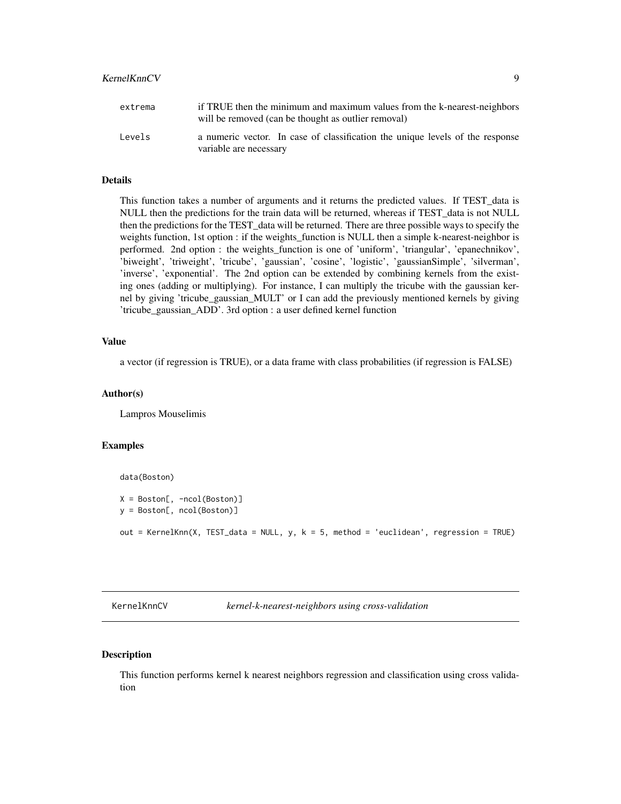# <span id="page-8-0"></span>KernelKnnCV 9

| extrema | if TRUE then the minimum and maximum values from the k-nearest-neighbors<br>will be removed (can be thought as outlier removal) |
|---------|---------------------------------------------------------------------------------------------------------------------------------|
| Levels  | a numeric vector. In case of classification the unique levels of the response<br>variable are necessary                         |

# Details

This function takes a number of arguments and it returns the predicted values. If TEST\_data is NULL then the predictions for the train data will be returned, whereas if TEST\_data is not NULL then the predictions for the TEST\_data will be returned. There are three possible ways to specify the weights function, 1st option : if the weights\_function is NULL then a simple k-nearest-neighbor is performed. 2nd option : the weights\_function is one of 'uniform', 'triangular', 'epanechnikov', 'biweight', 'triweight', 'tricube', 'gaussian', 'cosine', 'logistic', 'gaussianSimple', 'silverman', 'inverse', 'exponential'. The 2nd option can be extended by combining kernels from the existing ones (adding or multiplying). For instance, I can multiply the tricube with the gaussian kernel by giving 'tricube\_gaussian\_MULT' or I can add the previously mentioned kernels by giving 'tricube\_gaussian\_ADD'. 3rd option : a user defined kernel function

# Value

a vector (if regression is TRUE), or a data frame with class probabilities (if regression is FALSE)

#### Author(s)

Lampros Mouselimis

# Examples

data(Boston)

```
X = Boston[, -ncol(Boston)]y = Boston[, ncol(Boston)]
out = KernelKnn(X, TEST_data = NULL, y, k = 5, method = 'euclidean', regression = TRUE)
```
KernelKnnCV *kernel-k-nearest-neighbors using cross-validation*

#### **Description**

This function performs kernel k nearest neighbors regression and classification using cross validation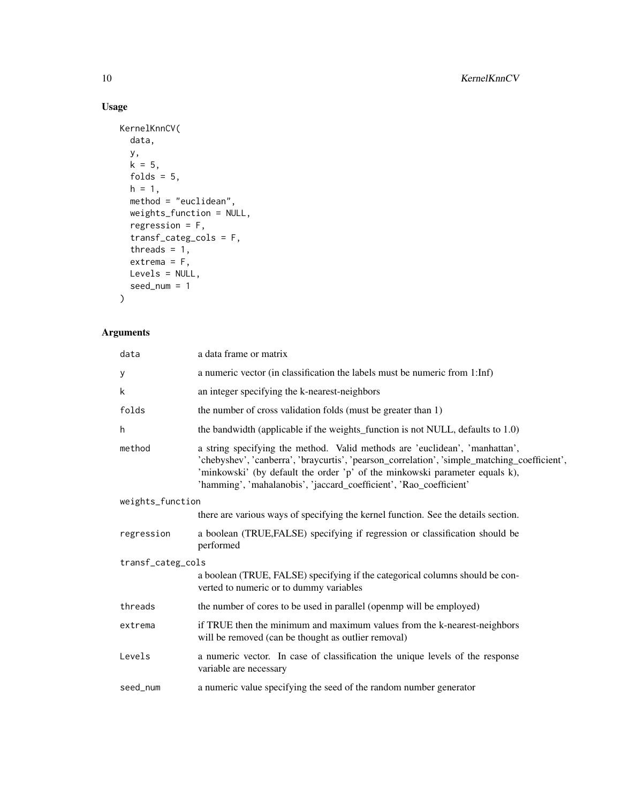# Usage

```
KernelKnnCV(
  data,
  y,
  k = 5,folds = 5,
  h = 1,method = "euclidean",
  weights_function = NULL,
  regression = F,
  transf_categ_cols = F,
  threads = 1,
  extrema = F,
  Levels = NULL,
 seed_num = 1
\mathcal{L}
```
# Arguments

| a data frame or matrix                                                                                                                                                                                                                                                                                                           |
|----------------------------------------------------------------------------------------------------------------------------------------------------------------------------------------------------------------------------------------------------------------------------------------------------------------------------------|
| a numeric vector (in classification the labels must be numeric from 1:Inf)                                                                                                                                                                                                                                                       |
| an integer specifying the k-nearest-neighbors                                                                                                                                                                                                                                                                                    |
| the number of cross validation folds (must be greater than 1)                                                                                                                                                                                                                                                                    |
| the bandwidth (applicable if the weights_function is not NULL, defaults to 1.0)                                                                                                                                                                                                                                                  |
| a string specifying the method. Valid methods are 'euclidean', 'manhattan',<br>'chebyshev', 'canberra', 'braycurtis', 'pearson_correlation', 'simple_matching_coefficient',<br>'minkowski' (by default the order 'p' of the minkowski parameter equals k),<br>'hamming', 'mahalanobis', 'jaccard_coefficient', 'Rao_coefficient' |
| weights_function                                                                                                                                                                                                                                                                                                                 |
| there are various ways of specifying the kernel function. See the details section.                                                                                                                                                                                                                                               |
| a boolean (TRUE, FALSE) specifying if regression or classification should be<br>performed                                                                                                                                                                                                                                        |
| transf_categ_cols                                                                                                                                                                                                                                                                                                                |
| a boolean (TRUE, FALSE) specifying if the categorical columns should be con-<br>verted to numeric or to dummy variables                                                                                                                                                                                                          |
| the number of cores to be used in parallel (openmp will be employed)                                                                                                                                                                                                                                                             |
| if TRUE then the minimum and maximum values from the k-nearest-neighbors<br>will be removed (can be thought as outlier removal)                                                                                                                                                                                                  |
| a numeric vector. In case of classification the unique levels of the response<br>variable are necessary                                                                                                                                                                                                                          |
| a numeric value specifying the seed of the random number generator                                                                                                                                                                                                                                                               |
|                                                                                                                                                                                                                                                                                                                                  |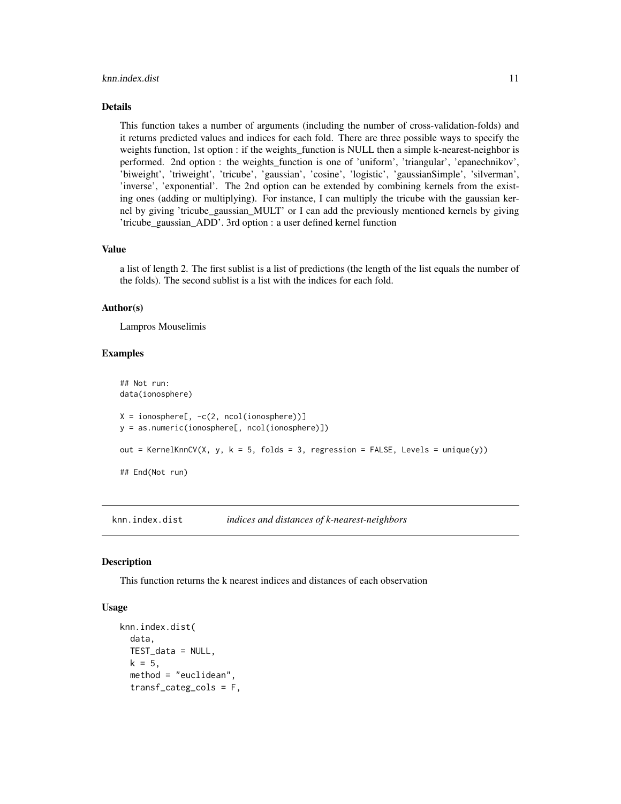#### <span id="page-10-0"></span>knn.index.dist 11

#### Details

This function takes a number of arguments (including the number of cross-validation-folds) and it returns predicted values and indices for each fold. There are three possible ways to specify the weights function, 1st option : if the weights\_function is NULL then a simple k-nearest-neighbor is performed. 2nd option : the weights\_function is one of 'uniform', 'triangular', 'epanechnikov', 'biweight', 'triweight', 'tricube', 'gaussian', 'cosine', 'logistic', 'gaussianSimple', 'silverman', 'inverse', 'exponential'. The 2nd option can be extended by combining kernels from the existing ones (adding or multiplying). For instance, I can multiply the tricube with the gaussian kernel by giving 'tricube\_gaussian\_MULT' or I can add the previously mentioned kernels by giving 'tricube\_gaussian\_ADD'. 3rd option : a user defined kernel function

#### Value

a list of length 2. The first sublist is a list of predictions (the length of the list equals the number of the folds). The second sublist is a list with the indices for each fold.

#### Author(s)

Lampros Mouselimis

#### Examples

```
## Not run:
data(ionosphere)
X = \text{ionosphere}, -c(2, ncol(ionosphere))]
y = as.numeric(ionosphere[, ncol(ionosphere)])
out = KernelKnnCV(X, y, k = 5, folds = 3, regression = FALSE, Levels = unique(y))
## End(Not run)
```
knn.index.dist *indices and distances of k-nearest-neighbors*

### **Description**

This function returns the k nearest indices and distances of each observation

# Usage

```
knn.index.dist(
  data,
  TEST_data = NULL,
 k = 5,
  method = "euclidean",
  transf_categ_cols = F,
```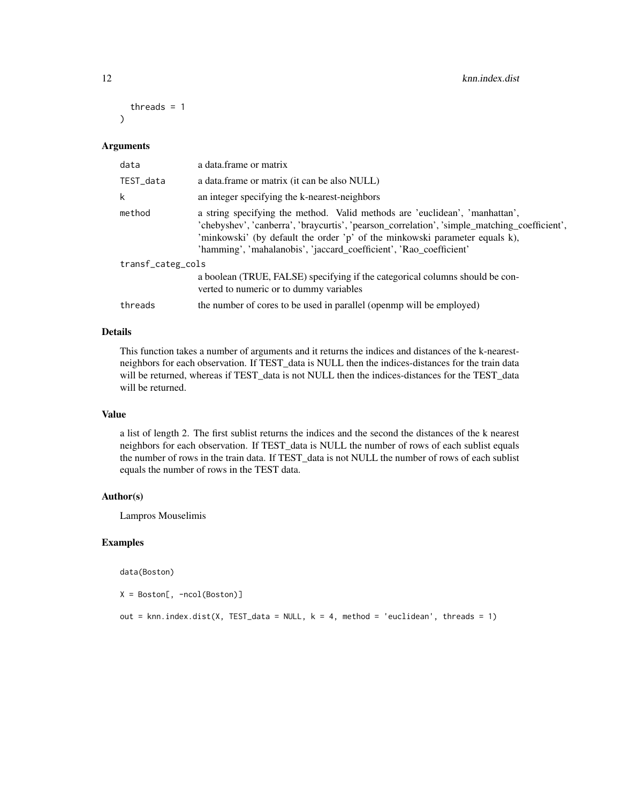```
threads = 1)
```
#### Arguments

| data              | a data.frame or matrix                                                                                                                                                                                                                                                                                                           |  |
|-------------------|----------------------------------------------------------------------------------------------------------------------------------------------------------------------------------------------------------------------------------------------------------------------------------------------------------------------------------|--|
| TEST_data         | a data.frame or matrix (it can be also NULL)                                                                                                                                                                                                                                                                                     |  |
| k                 | an integer specifying the k-nearest-neighbors                                                                                                                                                                                                                                                                                    |  |
| method            | a string specifying the method. Valid methods are 'euclidean', 'manhattan',<br>'chebyshev', 'canberra', 'braycurtis', 'pearson_correlation', 'simple_matching_coefficient',<br>'minkowski' (by default the order 'p' of the minkowski parameter equals k),<br>'hamming', 'mahalanobis', 'jaccard_coefficient', 'Rao_coefficient' |  |
| transf_categ_cols |                                                                                                                                                                                                                                                                                                                                  |  |
|                   | a boolean (TRUE, FALSE) specifying if the categorical columns should be con-<br>verted to numeric or to dummy variables                                                                                                                                                                                                          |  |
| threads           | the number of cores to be used in parallel (open mp will be employed)                                                                                                                                                                                                                                                            |  |

#### Details

This function takes a number of arguments and it returns the indices and distances of the k-nearestneighbors for each observation. If TEST\_data is NULL then the indices-distances for the train data will be returned, whereas if TEST\_data is not NULL then the indices-distances for the TEST\_data will be returned.

## Value

a list of length 2. The first sublist returns the indices and the second the distances of the k nearest neighbors for each observation. If TEST\_data is NULL the number of rows of each sublist equals the number of rows in the train data. If TEST\_data is not NULL the number of rows of each sublist equals the number of rows in the TEST data.

# Author(s)

Lampros Mouselimis

# Examples

data(Boston)

X = Boston[, -ncol(Boston)]

out = knn.index.dist(X, TEST\_data = NULL,  $k = 4$ , method = 'euclidean', threads = 1)